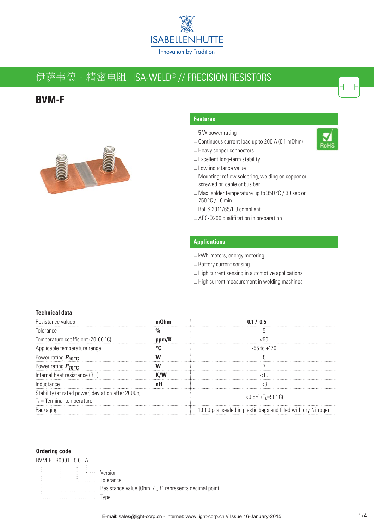

# 伊萨韦德·精密电阻 ISA-WELD<sup>®</sup> // PRECISION RESISTORS

# **BVM-F**



# **Features**

- 5 W power rating
- Continuous current load up to 200 A (0.1 mOhm)
- Heavy copper connectors
- Excellent long-term stability
- Low inductance value
- Mounting: reflow soldering, welding on copper or screwed on cable or bus bar
- Max. solder temperature up to 350 °C / 30 sec or 250 °C / 10 min
- RoHS 2011/65/EU compliant
- AEC-Q200 qualification in preparation

### **Applications**

- kWh-meters, energy metering
- Battery current sensing
- High current sensing in automotive applications
- High current measurement in welding machines

# **Technical data**

| Resistance values                                                                |       | 0.1 / 0.5                                                     |
|----------------------------------------------------------------------------------|-------|---------------------------------------------------------------|
| Inlerance                                                                        |       |                                                               |
| Temperature coefficient (20-60 °C)                                               | ppm/K |                                                               |
| Applicable temperature range                                                     |       | -55 to +170                                                   |
| Power rating $P_{90}$ or                                                         |       |                                                               |
| Power rating $P_{70}$ °C                                                         |       |                                                               |
| Internal heat resistance (Rthi)                                                  |       |                                                               |
| Inductance                                                                       |       |                                                               |
| Stability (at rated power) deviation after 2000h,<br>$TK$ = Terminal temperature |       | <0.5% $(T_{K}=90^{\circ}C)$                                   |
|                                                                                  |       | ,000 pcs. sealed in plastic bags and filled with dry Nitroger |

# **Ordering code**

| BVM-F - R0001 - 5.0 - A |                                                       |
|-------------------------|-------------------------------------------------------|
|                         |                                                       |
|                         | : Version                                             |
|                         | : Tolerance                                           |
|                         | Resistance value [Ohm] / "R" represents decimal point |
|                         | vne                                                   |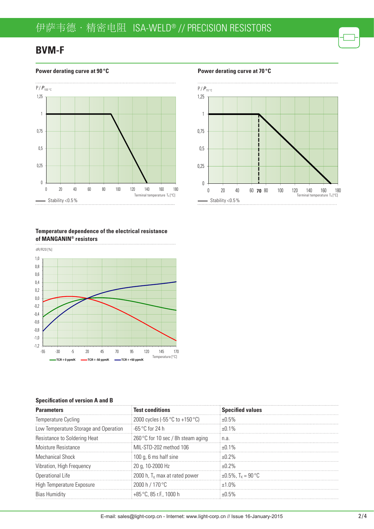# **BVM-F**



### **Power derating curve at 90 °C Power derating curve at 70 °C**

# **Temperature dependence of the electrical resistance of MANGANIN® resistors**



### **Specification of version A and B**

| <b>Parameters</b>                     | Test conditions                    | <b>Specified values</b>              |
|---------------------------------------|------------------------------------|--------------------------------------|
| Temperature Cycling                   | 2000 cycles (-55 °C to +150 °C)    | $+0.5\%$                             |
| Low Temperature Storage and Operation | $-65\,^{\circ}$ C for 24 h         | $+0.1\%$                             |
| Resistance to Soldering Heat          | 260 °C for 10 sec / 8h steam aging | n.a.                                 |
| Moisture Resistance                   | MIL-STD-202 method 106             | $+0.1%$                              |
| Mechanical Shock                      | $100$ g, 6 ms half sine            | $+0.2%$                              |
| Vibration, High Frequency             | 20 g, 10-2000 Hz                   | $+0.2%$                              |
| Operational Life                      | 2000 h, $T_k$ max at rated power   | $\pm 0.5\%$ . T <sub>K</sub> = 90 °C |
| High Temperature Exposure             | 2000 h / 170 °C                    | $+1.0\%$                             |
| Bias Humidity                         | i +85 °C, 85 r.F. 1000 h           | $+0.5%$                              |

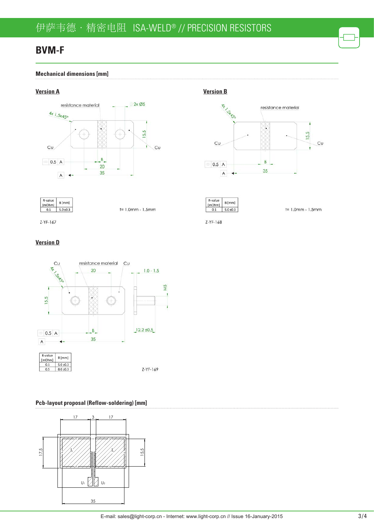# **BVM-F**

### **Mechanical dimensions [mm]**

### **Version A Version B**





 $t = 1.0$ mm -  $1.5$ mm

 $[mol<sub>m</sub>]$ 

 $0.1$ 

Z-YF-168

 $5.0 \pm 0.3$ 



 $t = 1.0$ mm -  $1.5$ mm

Z-YF-167

# **Version D**

soweit nicht ausdrücklich gestattet. Zuwiderhandlungen verpflichten zu Schadensersatz. Alle Rechte vorbehalten. Weitergabe sowie Vervielfältigung dieser Zeichnung,Verwertung und Mitteilung des Inhaltes sind verboten,



# **Pcb-layout proposal (Reflow-soldering) [mm]**